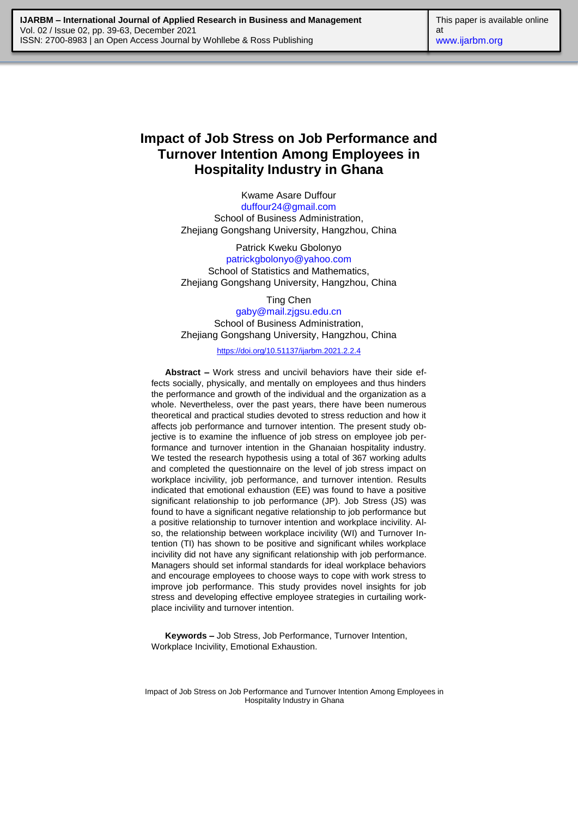# **Impact of Job Stress on Job Performance and Turnover Intention Among Employees in Hospitality Industry in Ghana**

Kwame Asare Duffour [duffour24@gmail.com](mailto:duffour24@gmail.com) School of Business Administration, Zhejiang Gongshang University, Hangzhou, China

Patrick Kweku Gbolonyo [patrickgbolonyo@yahoo.com](mailto:patrickgbolonyo@yahoo.com) School of Statistics and Mathematics, Zhejiang Gongshang University, Hangzhou, China

Ting Chen [gaby@mail.zjgsu.edu.cn](mailto:gaby@mail.zjgsu.edu.cn) School of Business Administration, Zhejiang Gongshang University, Hangzhou, China

<https://doi.org/10.51137/ijarbm.2021.2.2.4>

**Abstract –** Work stress and uncivil behaviors have their side effects socially, physically, and mentally on employees and thus hinders the performance and growth of the individual and the organization as a whole. Nevertheless, over the past years, there have been numerous theoretical and practical studies devoted to stress reduction and how it affects job performance and turnover intention. The present study objective is to examine the influence of job stress on employee job performance and turnover intention in the Ghanaian hospitality industry. We tested the research hypothesis using a total of 367 working adults and completed the questionnaire on the level of job stress impact on workplace incivility, job performance, and turnover intention. Results indicated that emotional exhaustion (EE) was found to have a positive significant relationship to job performance (JP). Job Stress (JS) was found to have a significant negative relationship to job performance but a positive relationship to turnover intention and workplace incivility. Also, the relationship between workplace incivility (WI) and Turnover Intention (TI) has shown to be positive and significant whiles workplace incivility did not have any significant relationship with job performance. Managers should set informal standards for ideal workplace behaviors and encourage employees to choose ways to cope with work stress to improve job performance. This study provides novel insights for job stress and developing effective employee strategies in curtailing workplace incivility and turnover intention.

**Keywords –** Job Stress, Job Performance, Turnover Intention, Workplace Incivility, Emotional Exhaustion.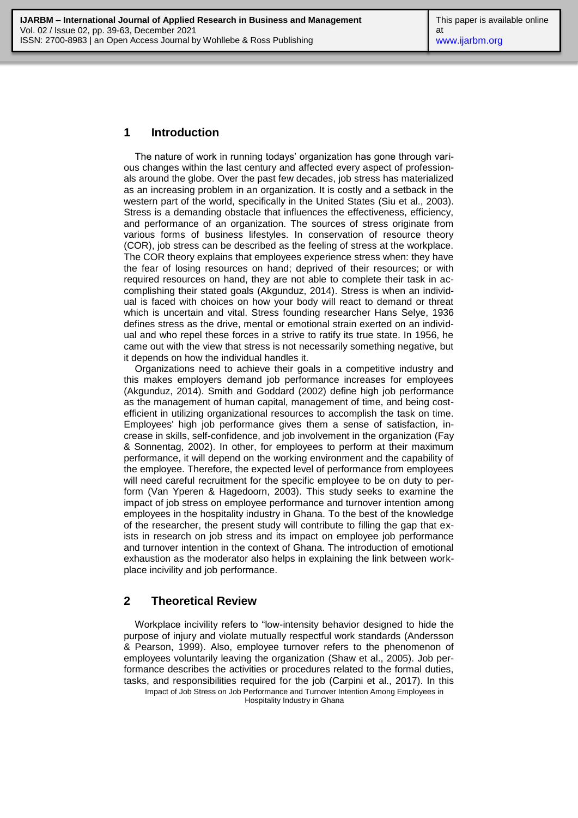## **1 Introduction**

The nature of work in running todays' organization has gone through various changes within the last century and affected every aspect of professionals around the globe. Over the past few decades, job stress has materialized as an increasing problem in an organization. It is costly and a setback in the western part of the world, specifically in the United States (Siu et al., 2003). Stress is a demanding obstacle that influences the effectiveness, efficiency, and performance of an organization. The sources of stress originate from various forms of business lifestyles. In conservation of resource theory (COR), job stress can be described as the feeling of stress at the workplace. The COR theory explains that employees experience stress when: they have the fear of losing resources on hand; deprived of their resources; or with required resources on hand, they are not able to complete their task in accomplishing their stated goals (Akgunduz, 2014). Stress is when an individual is faced with choices on how your body will react to demand or threat which is uncertain and vital. Stress founding researcher Hans Selye, 1936 defines stress as the drive, mental or emotional strain exerted on an individual and who repel these forces in a strive to ratify its true state. In 1956, he came out with the view that stress is not necessarily something negative, but it depends on how the individual handles it.

Organizations need to achieve their goals in a competitive industry and this makes employers demand job performance increases for employees (Akgunduz, 2014). Smith and Goddard (2002) define high job performance as the management of human capital, management of time, and being costefficient in utilizing organizational resources to accomplish the task on time. Employees' high job performance gives them a sense of satisfaction, increase in skills, self-confidence, and job involvement in the organization (Fay & Sonnentag, 2002). In other, for employees to perform at their maximum performance, it will depend on the working environment and the capability of the employee. Therefore, the expected level of performance from employees will need careful recruitment for the specific employee to be on duty to perform (Van Yperen & Hagedoorn, 2003). This study seeks to examine the impact of job stress on employee performance and turnover intention among employees in the hospitality industry in Ghana. To the best of the knowledge of the researcher, the present study will contribute to filling the gap that exists in research on job stress and its impact on employee job performance and turnover intention in the context of Ghana. The introduction of emotional exhaustion as the moderator also helps in explaining the link between workplace incivility and job performance.

## **2 Theoretical Review**

Impact of Job Stress on Job Performance and Turnover Intention Among Employees in Hospitality Industry in Ghana Workplace incivility refers to "low-intensity behavior designed to hide the purpose of injury and violate mutually respectful work standards (Andersson & Pearson, 1999). Also, employee turnover refers to the phenomenon of employees voluntarily leaving the organization (Shaw et al., 2005). Job performance describes the activities or procedures related to the formal duties, tasks, and responsibilities required for the job (Carpini et al., 2017). In this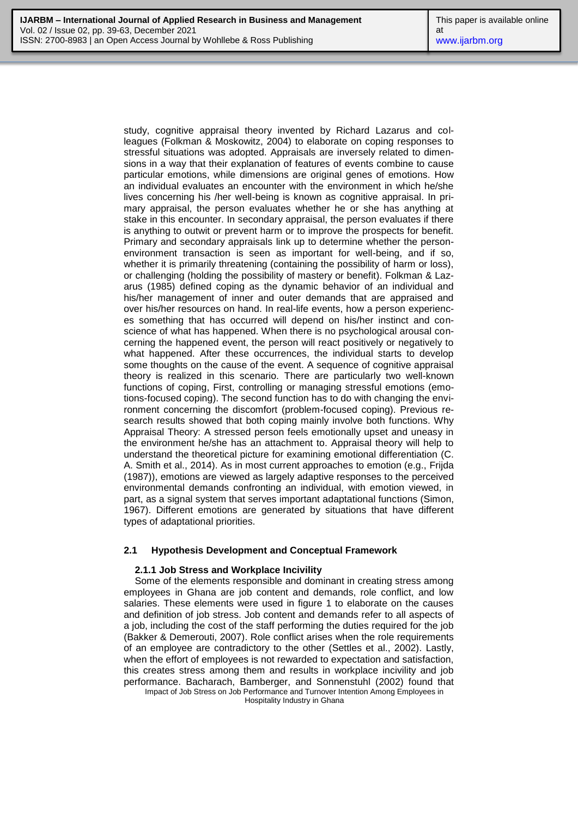study, cognitive appraisal theory invented by Richard Lazarus and colleagues (Folkman & Moskowitz, 2004) to elaborate on coping responses to stressful situations was adopted. Appraisals are inversely related to dimensions in a way that their explanation of features of events combine to cause particular emotions, while dimensions are original genes of emotions. How an individual evaluates an encounter with the environment in which he/she lives concerning his /her well-being is known as cognitive appraisal. In primary appraisal, the person evaluates whether he or she has anything at stake in this encounter. In secondary appraisal, the person evaluates if there is anything to outwit or prevent harm or to improve the prospects for benefit. Primary and secondary appraisals link up to determine whether the personenvironment transaction is seen as important for well-being, and if so, whether it is primarily threatening (containing the possibility of harm or loss), or challenging (holding the possibility of mastery or benefit). Folkman & Lazarus (1985) defined coping as the dynamic behavior of an individual and his/her management of inner and outer demands that are appraised and over his/her resources on hand. In real-life events, how a person experiences something that has occurred will depend on his/her instinct and conscience of what has happened. When there is no psychological arousal concerning the happened event, the person will react positively or negatively to what happened. After these occurrences, the individual starts to develop some thoughts on the cause of the event. A sequence of cognitive appraisal theory is realized in this scenario. There are particularly two well-known functions of coping, First, controlling or managing stressful emotions (emotions-focused coping). The second function has to do with changing the environment concerning the discomfort (problem-focused coping). Previous research results showed that both coping mainly involve both functions. Why Appraisal Theory: A stressed person feels emotionally upset and uneasy in the environment he/she has an attachment to. Appraisal theory will help to understand the theoretical picture for examining emotional differentiation (C. A. Smith et al., 2014). As in most current approaches to emotion (e.g., Frijda (1987)), emotions are viewed as largely adaptive responses to the perceived environmental demands confronting an individual, with emotion viewed, in part, as a signal system that serves important adaptational functions (Simon, 1967). Different emotions are generated by situations that have different types of adaptational priorities.

#### **2.1 Hypothesis Development and Conceptual Framework**

#### **2.1.1 Job Stress and Workplace Incivility**

Impact of Job Stress on Job Performance and Turnover Intention Among Employees in Some of the elements responsible and dominant in creating stress among employees in Ghana are job content and demands, role conflict, and low salaries. These elements were used in figure 1 to elaborate on the causes and definition of job stress. Job content and demands refer to all aspects of a job, including the cost of the staff performing the duties required for the job (Bakker & Demerouti, 2007). Role conflict arises when the role requirements of an employee are contradictory to the other (Settles et al., 2002). Lastly, when the effort of employees is not rewarded to expectation and satisfaction, this creates stress among them and results in workplace incivility and job performance. Bacharach, Bamberger, and Sonnenstuhl (2002) found that

Hospitality Industry in Ghana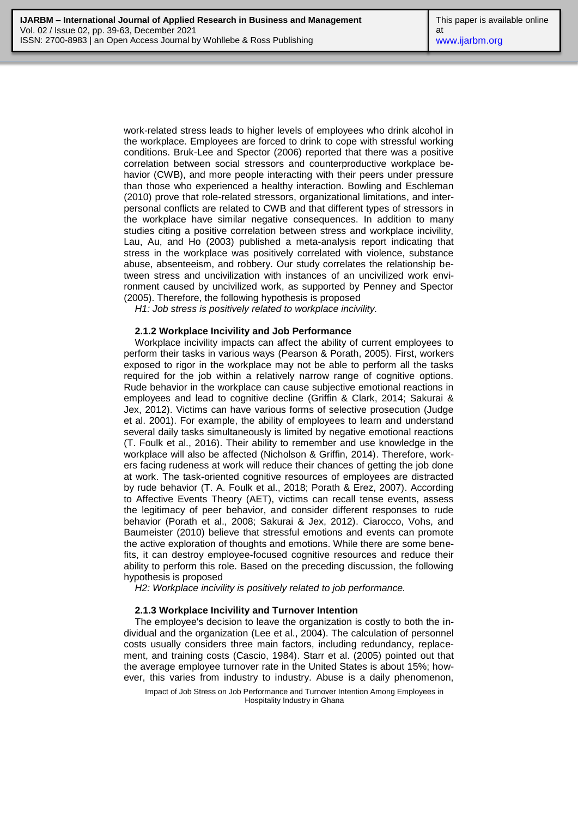work-related stress leads to higher levels of employees who drink alcohol in the workplace. Employees are forced to drink to cope with stressful working conditions. Bruk-Lee and Spector (2006) reported that there was a positive correlation between social stressors and counterproductive workplace behavior (CWB), and more people interacting with their peers under pressure than those who experienced a healthy interaction. Bowling and Eschleman (2010) prove that role-related stressors, organizational limitations, and interpersonal conflicts are related to CWB and that different types of stressors in the workplace have similar negative consequences. In addition to many studies citing a positive correlation between stress and workplace incivility, Lau, Au, and Ho (2003) published a meta-analysis report indicating that stress in the workplace was positively correlated with violence, substance abuse, absenteeism, and robbery. Our study correlates the relationship between stress and uncivilization with instances of an uncivilized work environment caused by uncivilized work, as supported by Penney and Spector (2005). Therefore, the following hypothesis is proposed

*H1: Job stress is positively related to workplace incivility.*

#### **2.1.2 Workplace Incivility and Job Performance**

Workplace incivility impacts can affect the ability of current employees to perform their tasks in various ways (Pearson & Porath, 2005). First, workers exposed to rigor in the workplace may not be able to perform all the tasks required for the job within a relatively narrow range of cognitive options. Rude behavior in the workplace can cause subjective emotional reactions in employees and lead to cognitive decline (Griffin & Clark, 2014; Sakurai & Jex, 2012). Victims can have various forms of selective prosecution (Judge et al. 2001). For example, the ability of employees to learn and understand several daily tasks simultaneously is limited by negative emotional reactions (T. Foulk et al., 2016). Their ability to remember and use knowledge in the workplace will also be affected (Nicholson & Griffin, 2014). Therefore, workers facing rudeness at work will reduce their chances of getting the job done at work. The task-oriented cognitive resources of employees are distracted by rude behavior (T. A. Foulk et al., 2018; Porath & Erez, 2007). According to Affective Events Theory (AET), victims can recall tense events, assess the legitimacy of peer behavior, and consider different responses to rude behavior (Porath et al., 2008; Sakurai & Jex, 2012). Ciarocco, Vohs, and Baumeister (2010) believe that stressful emotions and events can promote the active exploration of thoughts and emotions. While there are some benefits, it can destroy employee-focused cognitive resources and reduce their ability to perform this role. Based on the preceding discussion, the following hypothesis is proposed

*H2: Workplace incivility is positively related to job performance.*

#### **2.1.3 Workplace Incivility and Turnover Intention**

The employee's decision to leave the organization is costly to both the individual and the organization (Lee et al., 2004). The calculation of personnel costs usually considers three main factors, including redundancy, replacement, and training costs (Cascio, 1984). Starr et al. (2005) pointed out that the average employee turnover rate in the United States is about 15%; however, this varies from industry to industry. Abuse is a daily phenomenon,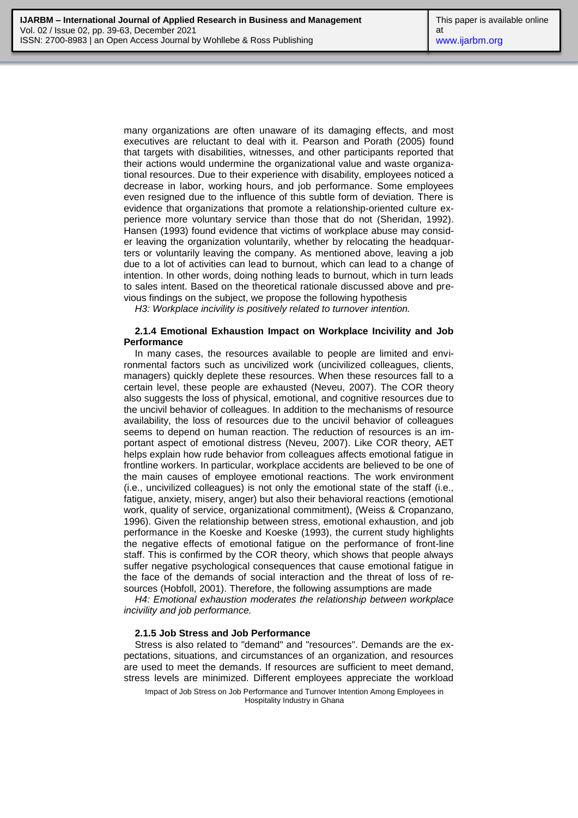many organizations are often unaware of its damaging effects, and most executives are reluctant to deal with it. Pearson and Porath (2005) found that targets with disabilities, witnesses, and other participants reported that their actions would undermine the organizational value and waste organizational resources. Due to their experience with disability, employees noticed a decrease in labor, working hours, and job performance. Some employees even resigned due to the influence of this subtle form of deviation. There is evidence that organizations that promote a relationship-oriented culture experience more voluntary service than those that do not (Sheridan, 1992). Hansen (1993) found evidence that victims of workplace abuse may consider leaving the organization voluntarily, whether by relocating the headquarters or voluntarily leaving the company. As mentioned above, leaving a job due to a lot of activities can lead to burnout, which can lead to a change of intention. In other words, doing nothing leads to burnout, which in turn leads to sales intent. Based on the theoretical rationale discussed above and previous findings on the subject, we propose the following hypothesis

*H3: Workplace incivility is positively related to turnover intention.*

#### **2.1.4 Emotional Exhaustion Impact on Workplace Incivility and Job Performance**

In many cases, the resources available to people are limited and environmental factors such as uncivilized work (uncivilized colleagues, clients, managers) quickly deplete these resources. When these resources fall to a certain level, these people are exhausted (Neveu, 2007). The COR theory also suggests the loss of physical, emotional, and cognitive resources due to the uncivil behavior of colleagues. In addition to the mechanisms of resource availability, the loss of resources due to the uncivil behavior of colleagues seems to depend on human reaction. The reduction of resources is an important aspect of emotional distress (Neveu, 2007). Like COR theory, AET helps explain how rude behavior from colleagues affects emotional fatigue in frontline workers. In particular, workplace accidents are believed to be one of the main causes of employee emotional reactions. The work environment (i.e., uncivilized colleagues) is not only the emotional state of the staff (i.e., fatigue, anxiety, misery, anger) but also their behavioral reactions (emotional work, quality of service, organizational commitment), (Weiss & Cropanzano, 1996). Given the relationship between stress, emotional exhaustion, and job performance in the Koeske and Koeske (1993), the current study highlights the negative effects of emotional fatigue on the performance of front-line staff. This is confirmed by the COR theory, which shows that people always suffer negative psychological consequences that cause emotional fatigue in the face of the demands of social interaction and the threat of loss of resources (Hobfoll, 2001). Therefore, the following assumptions are made

*H4: Emotional exhaustion moderates the relationship between workplace incivility and job performance.*

#### **2.1.5 Job Stress and Job Performance**

Stress is also related to "demand" and "resources". Demands are the expectations, situations, and circumstances of an organization, and resources are used to meet the demands. If resources are sufficient to meet demand, stress levels are minimized. Different employees appreciate the workload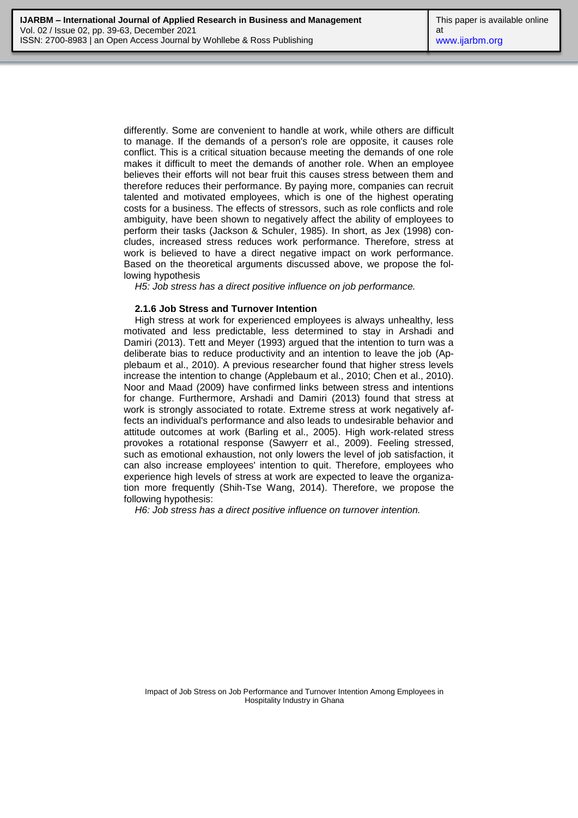differently. Some are convenient to handle at work, while others are difficult to manage. If the demands of a person's role are opposite, it causes role conflict. This is a critical situation because meeting the demands of one role makes it difficult to meet the demands of another role. When an employee believes their efforts will not bear fruit this causes stress between them and therefore reduces their performance. By paying more, companies can recruit talented and motivated employees, which is one of the highest operating costs for a business. The effects of stressors, such as role conflicts and role ambiguity, have been shown to negatively affect the ability of employees to perform their tasks (Jackson & Schuler, 1985). In short, as Jex (1998) concludes, increased stress reduces work performance. Therefore, stress at work is believed to have a direct negative impact on work performance. Based on the theoretical arguments discussed above, we propose the following hypothesis

*H5: Job stress has a direct positive influence on job performance.*

#### **2.1.6 Job Stress and Turnover Intention**

High stress at work for experienced employees is always unhealthy, less motivated and less predictable, less determined to stay in Arshadi and Damiri (2013). Tett and Meyer (1993) argued that the intention to turn was a deliberate bias to reduce productivity and an intention to leave the job (Applebaum et al., 2010). A previous researcher found that higher stress levels increase the intention to change (Applebaum et al., 2010; Chen et al., 2010). Noor and Maad (2009) have confirmed links between stress and intentions for change. Furthermore, Arshadi and Damiri (2013) found that stress at work is strongly associated to rotate. Extreme stress at work negatively affects an individual's performance and also leads to undesirable behavior and attitude outcomes at work (Barling et al., 2005). High work-related stress provokes a rotational response (Sawyerr et al., 2009). Feeling stressed, such as emotional exhaustion, not only lowers the level of job satisfaction, it can also increase employees' intention to quit. Therefore, employees who experience high levels of stress at work are expected to leave the organization more frequently (Shih-Tse Wang, 2014). Therefore, we propose the following hypothesis:

*H6: Job stress has a direct positive influence on turnover intention.*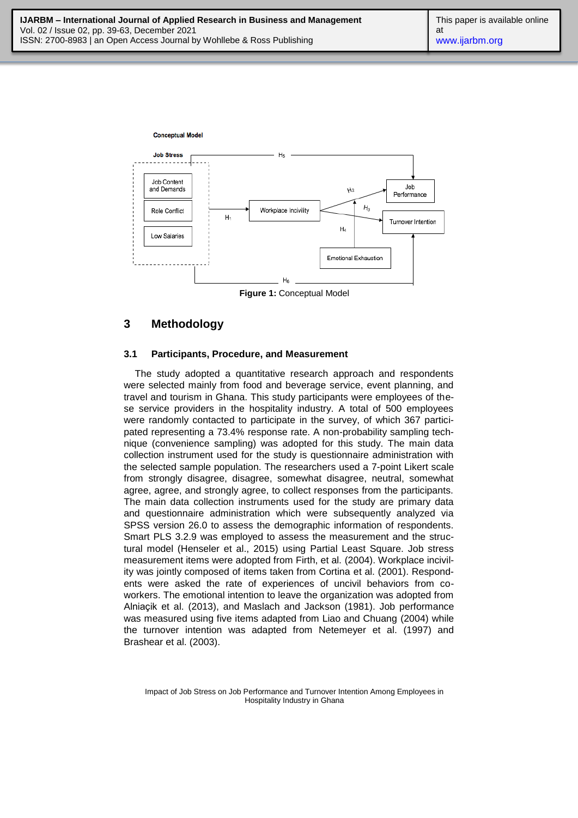

**Figure 1:** Conceptual Model

## **3 Methodology**

#### **3.1 Participants, Procedure, and Measurement**

The study adopted a quantitative research approach and respondents were selected mainly from food and beverage service, event planning, and travel and tourism in Ghana. This study participants were employees of these service providers in the hospitality industry. A total of 500 employees were randomly contacted to participate in the survey, of which 367 participated representing a 73.4% response rate. A non-probability sampling technique (convenience sampling) was adopted for this study. The main data collection instrument used for the study is questionnaire administration with the selected sample population. The researchers used a 7-point Likert scale from strongly disagree, disagree, somewhat disagree, neutral, somewhat agree, agree, and strongly agree, to collect responses from the participants. The main data collection instruments used for the study are primary data and questionnaire administration which were subsequently analyzed via SPSS version 26.0 to assess the demographic information of respondents. Smart PLS 3.2.9 was employed to assess the measurement and the structural model (Henseler et al., 2015) using Partial Least Square. Job stress measurement items were adopted from Firth, et al. (2004). Workplace incivility was jointly composed of items taken from Cortina et al. (2001). Respondents were asked the rate of experiences of uncivil behaviors from coworkers. The emotional intention to leave the organization was adopted from Alnia cik et al. (2013), and Maslach and Jackson (1981). Job performance was measured using five items adapted from Liao and Chuang (2004) while the turnover intention was adapted from Netemeyer et al. (1997) and Brashear et al. (2003).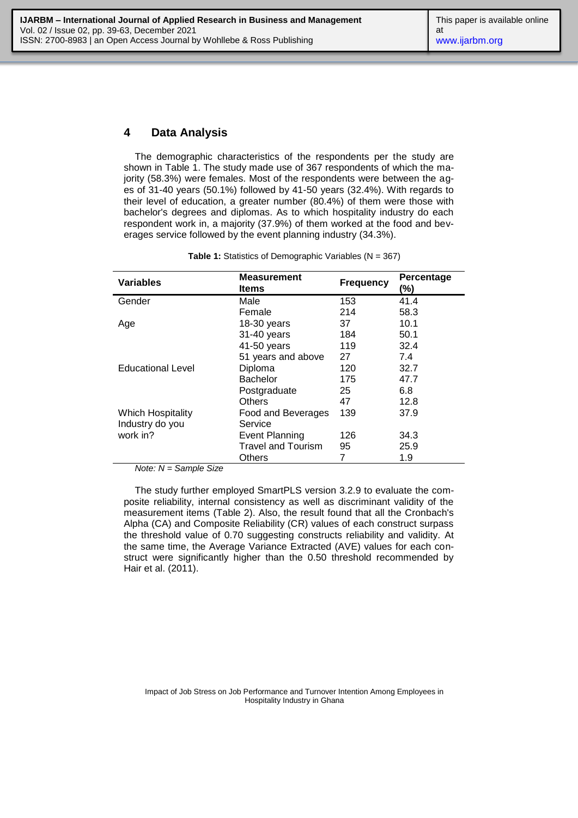### **4 Data Analysis**

The demographic characteristics of the respondents per the study are shown in Table 1. The study made use of 367 respondents of which the majority (58.3%) were females. Most of the respondents were between the ages of 31-40 years (50.1%) followed by 41-50 years (32.4%). With regards to their level of education, a greater number (80.4%) of them were those with bachelor's degrees and diplomas. As to which hospitality industry do each respondent work in, a majority (37.9%) of them worked at the food and beverages service followed by the event planning industry (34.3%).

| <b>Variables</b>         | <b>Measurement</b><br>ltems | <b>Frequency</b> | Percentage<br>(%) |
|--------------------------|-----------------------------|------------------|-------------------|
| Gender                   | Male                        | 153              | 41.4              |
|                          | Female                      | 214              | 58.3              |
| Age                      | $18-30$ years               | 37               | 10.1              |
|                          | 31-40 years                 | 184              | 50.1              |
|                          | 41-50 years                 | 119              | 32.4              |
|                          | 51 years and above          | 27               | 7.4               |
| <b>Educational Level</b> | Diploma                     | 120              | 32.7              |
|                          | <b>Bachelor</b>             | 175              | 47.7              |
|                          | Postgraduate                | 25               | 6.8               |
|                          | <b>Others</b>               | 47               | 12.8              |
| Which Hospitality        | Food and Beverages          | 139              | 37.9              |
| Industry do you          | Service                     |                  |                   |
| work in?                 | <b>Event Planning</b>       | 126              | 34.3              |
|                          | <b>Travel and Tourism</b>   | 95               | 25.9              |
|                          | Others                      | 7                | 1.9               |

**Table 1:** Statistics of Demographic Variables (N = 367)

*Note: N = Sample Size*

The study further employed SmartPLS version 3.2.9 to evaluate the composite reliability, internal consistency as well as discriminant validity of the measurement items (Table 2). Also, the result found that all the Cronbach's Alpha (CA) and Composite Reliability (CR) values of each construct surpass the threshold value of 0.70 suggesting constructs reliability and validity. At the same time, the Average Variance Extracted (AVE) values for each construct were significantly higher than the 0.50 threshold recommended by Hair et al. (2011).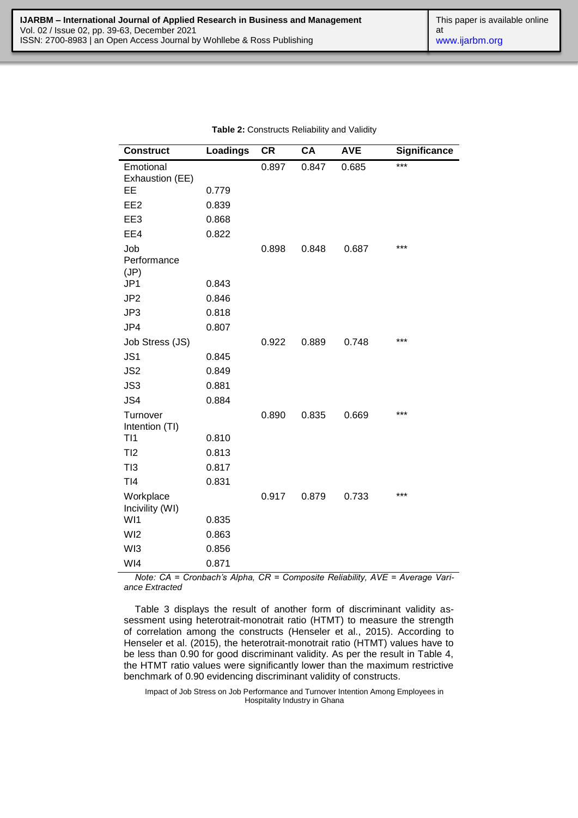| <b>Construct</b>             | <b>Loadings</b> | <b>CR</b> | <b>CA</b> | <b>AVE</b> | <b>Significance</b> |
|------------------------------|-----------------|-----------|-----------|------------|---------------------|
| Emotional<br>Exhaustion (EE) |                 | 0.897     | 0.847     | 0.685      | ***                 |
| EE                           | 0.779           |           |           |            |                     |
| EE <sub>2</sub>              | 0.839           |           |           |            |                     |
| EE3                          | 0.868           |           |           |            |                     |
| EE4                          | 0.822           |           |           |            |                     |
| Job<br>Performance<br>(JP)   |                 | 0.898     | 0.848     | 0.687      | ***                 |
| JP1                          | 0.843           |           |           |            |                     |
| JP <sub>2</sub>              | 0.846           |           |           |            |                     |
| JP3                          | 0.818           |           |           |            |                     |
| JP4                          | 0.807           |           |           |            |                     |
| Job Stress (JS)              |                 | 0.922     | 0.889     | 0.748      | ***                 |
| JS1                          | 0.845           |           |           |            |                     |
| JS <sub>2</sub>              | 0.849           |           |           |            |                     |
| JS3                          | 0.881           |           |           |            |                     |
| JS4                          | 0.884           |           |           |            |                     |
| Turnover<br>Intention (TI)   |                 | 0.890     | 0.835     | 0.669      | ***                 |
| TI1                          | 0.810           |           |           |            |                     |
| TI2                          | 0.813           |           |           |            |                     |
| TI3                          | 0.817           |           |           |            |                     |
| TI4                          | 0.831           |           |           |            |                     |
| Workplace<br>Incivility (WI) |                 | 0.917     | 0.879     | 0.733      | ***                 |
| WI1                          | 0.835           |           |           |            |                     |
| WI <sub>2</sub>              | 0.863           |           |           |            |                     |
| WI3                          | 0.856           |           |           |            |                     |
| WI4                          | 0.871           |           |           |            |                     |

| Table 2: Constructs Reliability and Validity |  |  |  |
|----------------------------------------------|--|--|--|
|----------------------------------------------|--|--|--|

*Note: CA = Cronbach's Alpha, CR = Composite Reliability, AVE = Average Variance Extracted*

Table 3 displays the result of another form of discriminant validity assessment using heterotrait-monotrait ratio (HTMT) to measure the strength of correlation among the constructs (Henseler et al., 2015). According to Henseler et al. (2015), the heterotrait-monotrait ratio (HTMT) values have to be less than 0.90 for good discriminant validity. As per the result in Table 4, the HTMT ratio values were significantly lower than the maximum restrictive benchmark of 0.90 evidencing discriminant validity of constructs.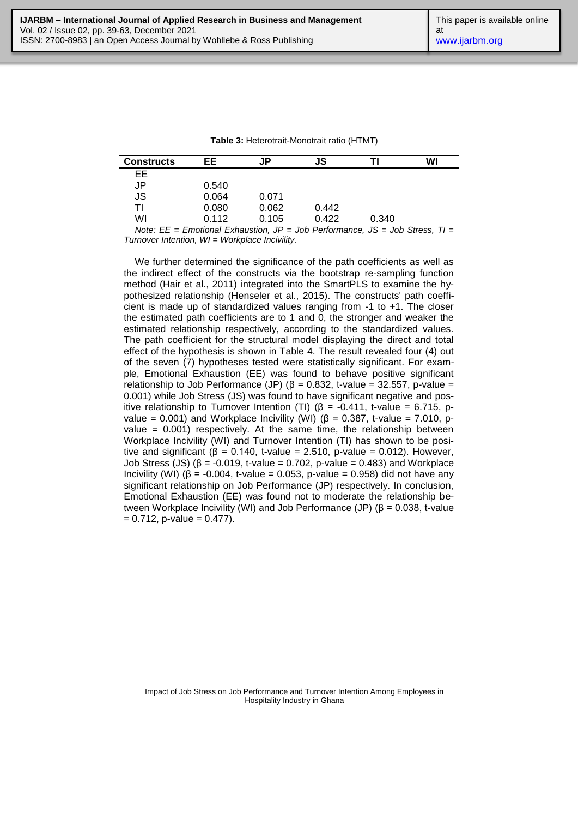| Table 3: Heterotrait-Monotrait ratio (HTMT) |  |
|---------------------------------------------|--|
|                                             |  |

| <b>Constructs</b> | EE    | JP    | JS    | Τl    | WI |
|-------------------|-------|-------|-------|-------|----|
| EЕ                |       |       |       |       |    |
| JP                | 0.540 |       |       |       |    |
| <b>JS</b>         | 0.064 | 0.071 |       |       |    |
| TI                | 0.080 | 0.062 | 0.442 |       |    |
| WI                | 0.112 | 0.105 | 0.422 | 0.340 |    |

*Note: EE = Emotional Exhaustion, JP = Job Performance, JS = Job Stress, TI = Turnover Intention, WI = Workplace Incivility.* 

We further determined the significance of the path coefficients as well as the indirect effect of the constructs via the bootstrap re-sampling function method (Hair et al., 2011) integrated into the SmartPLS to examine the hypothesized relationship (Henseler et al., 2015). The constructs' path coefficient is made up of standardized values ranging from -1 to +1. The closer the estimated path coefficients are to 1 and 0, the stronger and weaker the estimated relationship respectively, according to the standardized values. The path coefficient for the structural model displaying the direct and total effect of the hypothesis is shown in Table 4. The result revealed four (4) out of the seven (7) hypotheses tested were statistically significant. For example, Emotional Exhaustion (EE) was found to behave positive significant relationship to Job Performance (JP) ( $β = 0.832$ , t-value = 32.557, p-value = 0.001) while Job Stress (JS) was found to have significant negative and positive relationship to Turnover Intention (TI) ( $β = -0.411$ , t-value = 6.715, pvalue = 0.001) and Workplace Incivility (WI) ( $\beta$  = 0.387, t-value = 7.010, pvalue  $= 0.001$ ) respectively. At the same time, the relationship between Workplace Incivility (WI) and Turnover Intention (TI) has shown to be positive and significant ( $\beta$  = 0.140, t-value = 2.510, p-value = 0.012). However, Job Stress (JS)  $(8 = -0.019, t-value = 0.702, p-value = 0.483)$  and Workplace Incivility (WI) ( $β = -0.004$ , t-value = 0.053, p-value = 0.958) did not have any significant relationship on Job Performance (JP) respectively. In conclusion, Emotional Exhaustion (EE) was found not to moderate the relationship between Workplace Incivility (WI) and Job Performance (JP) ( $β = 0.038$ , t-value  $= 0.712$ , p-value  $= 0.477$ ).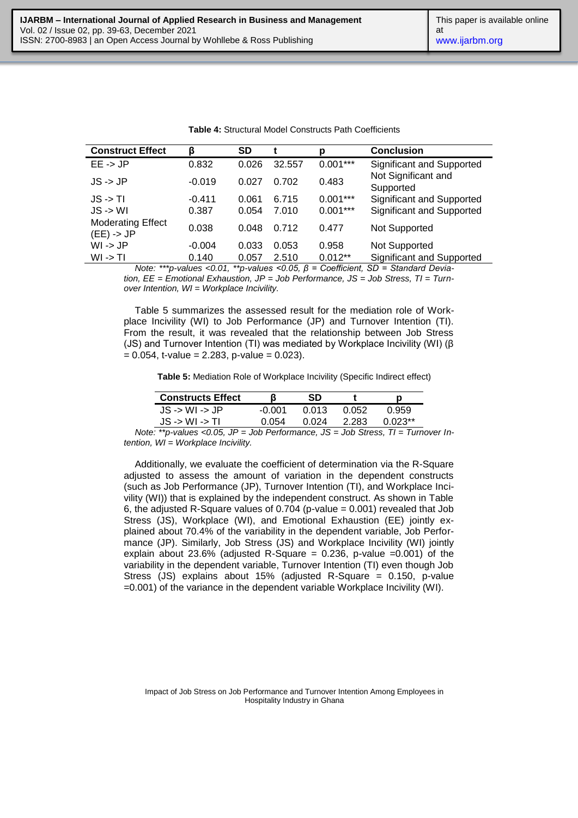| Significant and Supported                                                                                                                                                                                                                                                                                                          |
|------------------------------------------------------------------------------------------------------------------------------------------------------------------------------------------------------------------------------------------------------------------------------------------------------------------------------------|
| Not Significant and                                                                                                                                                                                                                                                                                                                |
| Significant and Supported                                                                                                                                                                                                                                                                                                          |
| Significant and Supported                                                                                                                                                                                                                                                                                                          |
|                                                                                                                                                                                                                                                                                                                                    |
|                                                                                                                                                                                                                                                                                                                                    |
| Significant and Supported                                                                                                                                                                                                                                                                                                          |
| $\mathbf{A}$ $\mathbf{A}$ $\mathbf{A}$ $\mathbf{A}$ $\mathbf{A}$ $\mathbf{A}$ $\mathbf{A}$ $\mathbf{A}$ $\mathbf{A}$ $\mathbf{A}$ $\mathbf{A}$ $\mathbf{A}$ $\mathbf{A}$ $\mathbf{A}$ $\mathbf{A}$ $\mathbf{A}$ $\mathbf{A}$ $\mathbf{A}$ $\mathbf{A}$ $\mathbf{A}$ $\mathbf{A}$ $\mathbf{A}$ $\mathbf{A}$ $\mathbf{A}$ $\mathbf{$ |

| <b>Table 4:</b> Structural Model Constructs Path Coefficients |  |
|---------------------------------------------------------------|--|
|---------------------------------------------------------------|--|

*Note: \*\*\*p-values <0.01, \*\*p-values <0.05, β = Coefficient, SD = Standard Deviation, EE = Emotional Exhaustion, JP = Job Performance, JS = Job Stress, TI = Turnover Intention, WI = Workplace Incivility.*

Table 5 summarizes the assessed result for the mediation role of Workplace Incivility (WI) to Job Performance (JP) and Turnover Intention (TI). From the result, it was revealed that the relationship between Job Stress (JS) and Turnover Intention (TI) was mediated by Workplace Incivility (WI) (β  $= 0.054$ , t-value = 2.283, p-value = 0.023).

**Table 5:** Mediation Role of Workplace Incivility (Specific Indirect effect)

| <b>Constructs Effect</b>           |              |       |       |         |
|------------------------------------|--------------|-------|-------|---------|
| $JS \rightarrow WI \rightarrow JP$ | -0.001       | 0.013 | 0.052 | O 959   |
| $JS \rightarrow WI \rightarrow TI$ | <u>በ በ54</u> | በ በ24 | 2.283 | በ በ23** |

*Note: \*\*p-values <0.05, JP = Job Performance, JS = Job Stress, TI = Turnover Intention, WI = Workplace Incivility.* 

Additionally, we evaluate the coefficient of determination via the R-Square adjusted to assess the amount of variation in the dependent constructs (such as Job Performance (JP), Turnover Intention (TI), and Workplace Incivility (WI)) that is explained by the independent construct. As shown in Table 6, the adjusted R-Square values of 0.704 (p-value = 0.001) revealed that Job Stress (JS), Workplace (WI), and Emotional Exhaustion (EE) jointly explained about 70.4% of the variability in the dependent variable, Job Performance (JP). Similarly, Job Stress (JS) and Workplace Incivility (WI) jointly explain about 23.6% (adjusted R-Square =  $0.236$ , p-value =  $0.001$ ) of the variability in the dependent variable, Turnover Intention (TI) even though Job Stress (JS) explains about 15% (adjusted R-Square = 0.150, p-value =0.001) of the variance in the dependent variable Workplace Incivility (WI).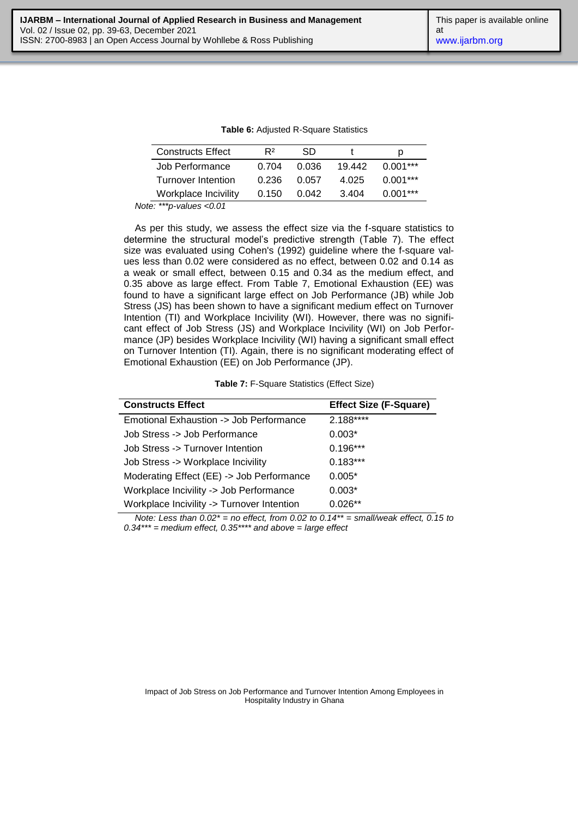| <b>Constructs Effect</b> | R <sup>2</sup> | SD    |        | D          |
|--------------------------|----------------|-------|--------|------------|
| Job Performance          | 0.704          | 0.036 | 19.442 | $0.001***$ |
| Turnover Intention       | 0.236          | 0.057 | 4.025  | $0.001***$ |
| Workplace Incivility     | 0.150          | 0.042 | 3.404  | $0.001***$ |

**Table 6:** Adjusted R-Square Statistics

*Note: \*\*\*p-values <0.01*

As per this study, we assess the effect size via the f-square statistics to determine the structural model's predictive strength (Table 7). The effect size was evaluated using Cohen's (1992) guideline where the f-square values less than 0.02 were considered as no effect, between 0.02 and 0.14 as a weak or small effect, between 0.15 and 0.34 as the medium effect, and 0.35 above as large effect. From Table 7, Emotional Exhaustion (EE) was found to have a significant large effect on Job Performance (JB) while Job Stress (JS) has been shown to have a significant medium effect on Turnover Intention (TI) and Workplace Incivility (WI). However, there was no significant effect of Job Stress (JS) and Workplace Incivility (WI) on Job Performance (JP) besides Workplace Incivility (WI) having a significant small effect on Turnover Intention (TI). Again, there is no significant moderating effect of Emotional Exhaustion (EE) on Job Performance (JP).

|  |  | Table 7: F-Square Statistics (Effect Size) |  |  |  |
|--|--|--------------------------------------------|--|--|--|
|--|--|--------------------------------------------|--|--|--|

| <b>Constructs Effect</b>                   | <b>Effect Size (F-Square)</b> |
|--------------------------------------------|-------------------------------|
| Emotional Exhaustion -> Job Performance    | 2.188****                     |
| Job Stress -> Job Performance              | $0.003*$                      |
| Job Stress -> Turnover Intention           | $0.196***$                    |
| Job Stress -> Workplace Incivility         | $0.183***$                    |
| Moderating Effect (EE) -> Job Performance  | $0.005*$                      |
| Workplace Incivility -> Job Performance    | $0.003*$                      |
| Workplace Incivility -> Turnover Intention | $0.026**$                     |

*Note: Less than*  $0.02^*$  *= no effect, from 0.02 to 0.14\*\* = small/weak effect, 0.15 to 0.34\*\*\* = medium effect, 0.35\*\*\*\* and above = large effect*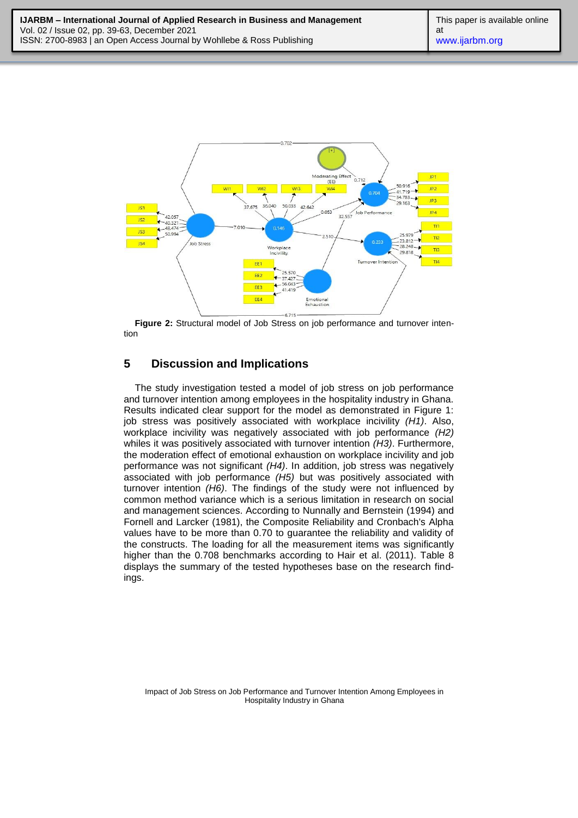

**Figure 2:** Structural model of Job Stress on job performance and turnover intention

## **5 Discussion and Implications**

The study investigation tested a model of job stress on job performance and turnover intention among employees in the hospitality industry in Ghana. Results indicated clear support for the model as demonstrated in Figure 1: job stress was positively associated with workplace incivility *(H1)*. Also, workplace incivility was negatively associated with job performance *(H2)* whiles it was positively associated with turnover intention *(H3)*. Furthermore, the moderation effect of emotional exhaustion on workplace incivility and job performance was not significant *(H4)*. In addition, job stress was negatively associated with job performance *(H5)* but was positively associated with turnover intention *(H6)*. The findings of the study were not influenced by common method variance which is a serious limitation in research on social and management sciences. According to Nunnally and Bernstein (1994) and Fornell and Larcker (1981), the Composite Reliability and Cronbach's Alpha values have to be more than 0.70 to guarantee the reliability and validity of the constructs. The loading for all the measurement items was significantly higher than the 0.708 benchmarks according to Hair et al. (2011). Table 8 displays the summary of the tested hypotheses base on the research findings.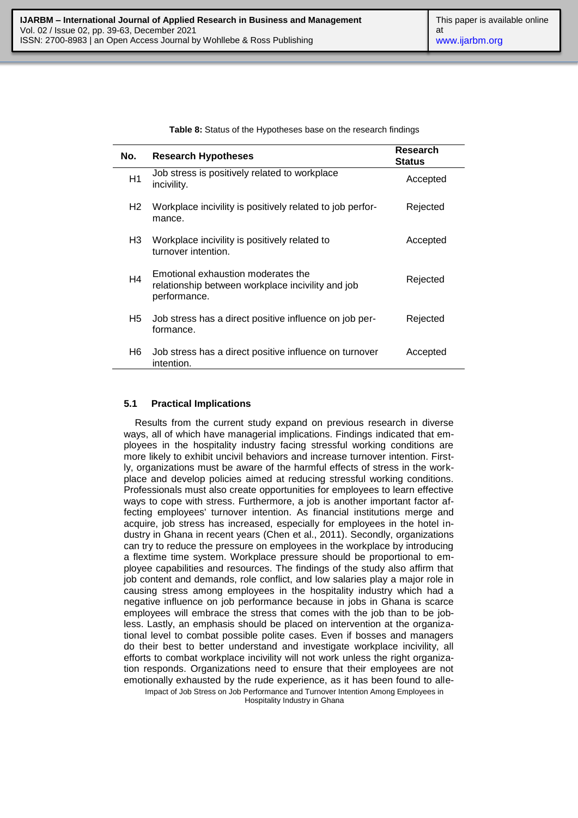**Table 8:** Status of the Hypotheses base on the research findings

| No. | <b>Research Hypotheses</b>                                                                              | Research<br><b>Status</b> |
|-----|---------------------------------------------------------------------------------------------------------|---------------------------|
| H1  | Job stress is positively related to workplace<br>incivility.                                            | Accepted                  |
| H2  | Workplace incivility is positively related to job perfor-<br>mance.                                     | Rejected                  |
| H3  | Workplace incivility is positively related to<br>turnover intention.                                    | Accepted                  |
| H4  | Emotional exhaustion moderates the<br>relationship between workplace incivility and job<br>performance. | Rejected                  |
| H5. | Job stress has a direct positive influence on job per-<br>formance.                                     | Rejected                  |
| H6  | Job stress has a direct positive influence on turnover<br>intention.                                    | Accepted                  |

#### **5.1 Practical Implications**

Impact of Job Stress on Job Performance and Turnover Intention Among Employees in Results from the current study expand on previous research in diverse ways, all of which have managerial implications. Findings indicated that employees in the hospitality industry facing stressful working conditions are more likely to exhibit uncivil behaviors and increase turnover intention. Firstly, organizations must be aware of the harmful effects of stress in the workplace and develop policies aimed at reducing stressful working conditions. Professionals must also create opportunities for employees to learn effective ways to cope with stress. Furthermore, a job is another important factor affecting employees' turnover intention. As financial institutions merge and acquire, job stress has increased, especially for employees in the hotel industry in Ghana in recent years (Chen et al., 2011). Secondly, organizations can try to reduce the pressure on employees in the workplace by introducing a flextime time system. Workplace pressure should be proportional to employee capabilities and resources. The findings of the study also affirm that job content and demands, role conflict, and low salaries play a major role in causing stress among employees in the hospitality industry which had a negative influence on job performance because in jobs in Ghana is scarce employees will embrace the stress that comes with the job than to be jobless. Lastly, an emphasis should be placed on intervention at the organizational level to combat possible polite cases. Even if bosses and managers do their best to better understand and investigate workplace incivility, all efforts to combat workplace incivility will not work unless the right organization responds. Organizations need to ensure that their employees are not emotionally exhausted by the rude experience, as it has been found to alle-

Hospitality Industry in Ghana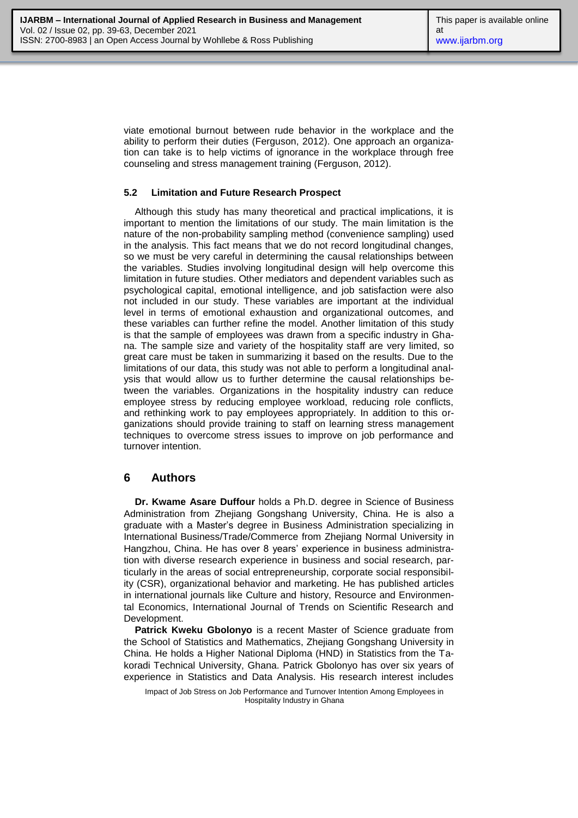viate emotional burnout between rude behavior in the workplace and the ability to perform their duties (Ferguson, 2012). One approach an organization can take is to help victims of ignorance in the workplace through free counseling and stress management training (Ferguson, 2012).

#### **5.2 Limitation and Future Research Prospect**

Although this study has many theoretical and practical implications, it is important to mention the limitations of our study. The main limitation is the nature of the non-probability sampling method (convenience sampling) used in the analysis. This fact means that we do not record longitudinal changes, so we must be very careful in determining the causal relationships between the variables. Studies involving longitudinal design will help overcome this limitation in future studies. Other mediators and dependent variables such as psychological capital, emotional intelligence, and job satisfaction were also not included in our study. These variables are important at the individual level in terms of emotional exhaustion and organizational outcomes, and these variables can further refine the model. Another limitation of this study is that the sample of employees was drawn from a specific industry in Ghana. The sample size and variety of the hospitality staff are very limited, so great care must be taken in summarizing it based on the results. Due to the limitations of our data, this study was not able to perform a longitudinal analysis that would allow us to further determine the causal relationships between the variables. Organizations in the hospitality industry can reduce employee stress by reducing employee workload, reducing role conflicts, and rethinking work to pay employees appropriately. In addition to this organizations should provide training to staff on learning stress management techniques to overcome stress issues to improve on job performance and turnover intention.

### **6 Authors**

**Dr. Kwame Asare Duffour** holds a Ph.D. degree in Science of Business Administration from Zhejiang Gongshang University, China. He is also a graduate with a Master's degree in Business Administration specializing in International Business/Trade/Commerce from Zhejiang Normal University in Hangzhou, China. He has over 8 years' experience in business administration with diverse research experience in business and social research, particularly in the areas of social entrepreneurship, corporate social responsibility (CSR), organizational behavior and marketing. He has published articles in international journals like Culture and history, Resource and Environmental Economics, International Journal of Trends on Scientific Research and Development.

**Patrick Kweku Gbolonyo** is a recent Master of Science graduate from the School of Statistics and Mathematics, Zhejiang Gongshang University in China. He holds a Higher National Diploma (HND) in Statistics from the Takoradi Technical University, Ghana. Patrick Gbolonyo has over six years of experience in Statistics and Data Analysis. His research interest includes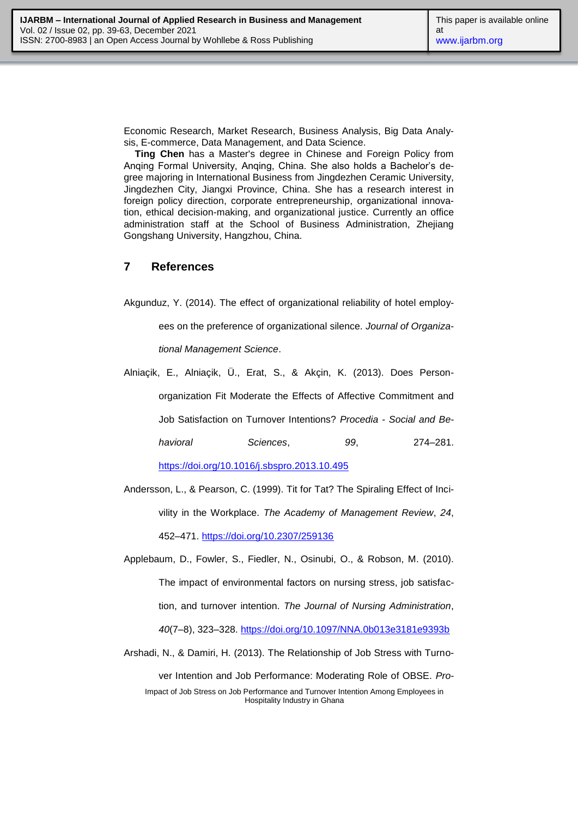Economic Research, Market Research, Business Analysis, Big Data Analysis, E-commerce, Data Management, and Data Science.

**Ting Chen** has a Master's degree in Chinese and Foreign Policy from Anqing Formal University, Anqing, China. She also holds a Bachelor's degree majoring in International Business from Jingdezhen Ceramic University, Jingdezhen City, Jiangxi Province, China. She has a research interest in foreign policy direction, corporate entrepreneurship, organizational innovation, ethical decision-making, and organizational justice. Currently an office administration staff at the School of Business Administration, Zhejiang Gongshang University, Hangzhou, China.

### **7 References**

Akgunduz, Y. (2014). The effect of organizational reliability of hotel employ-

ees on the preference of organizational silence. *Journal of Organizational Management Science*.

Alniaçik, E., Alniaçik, Ü., Erat, S., & Akçin, K. (2013). Does Personorganization Fit Moderate the Effects of Affective Commitment and Job Satisfaction on Turnover Intentions? *Procedia - Social and Behavioral Sciences*, *99*, 274–281.

<https://doi.org/10.1016/j.sbspro.2013.10.495>

- Andersson, L., & Pearson, C. (1999). Tit for Tat? The Spiraling Effect of Incivility in the Workplace. *The Academy of Management Review*, *24*, 452–471.<https://doi.org/10.2307/259136>
- Applebaum, D., Fowler, S., Fiedler, N., Osinubi, O., & Robson, M. (2010). The impact of environmental factors on nursing stress, job satisfaction, and turnover intention. *The Journal of Nursing Administration*, *40*(7–8), 323–328.<https://doi.org/10.1097/NNA.0b013e3181e9393b>
- Impact of Job Stress on Job Performance and Turnover Intention Among Employees in Hospitality Industry in Ghana Arshadi, N., & Damiri, H. (2013). The Relationship of Job Stress with Turnover Intention and Job Performance: Moderating Role of OBSE. *Pro-*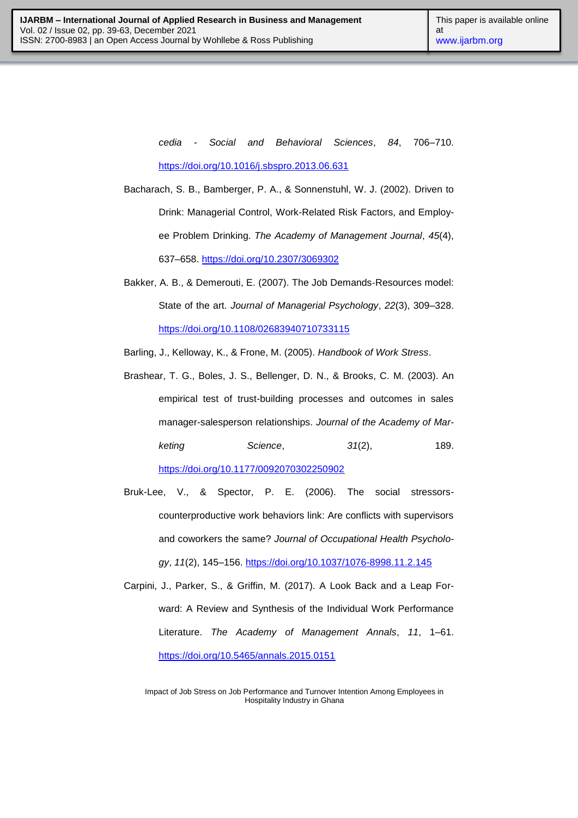*cedia - Social and Behavioral Sciences*, *84*, 706–710. <https://doi.org/10.1016/j.sbspro.2013.06.631>

- Bacharach, S. B., Bamberger, P. A., & Sonnenstuhl, W. J. (2002). Driven to Drink: Managerial Control, Work-Related Risk Factors, and Employee Problem Drinking. *The Academy of Management Journal*, *45*(4), 637–658.<https://doi.org/10.2307/3069302>
- Bakker, A. B., & Demerouti, E. (2007). The Job Demands‐Resources model: State of the art. *Journal of Managerial Psychology*, *22*(3), 309–328. <https://doi.org/10.1108/02683940710733115>

Barling, J., Kelloway, K., & Frone, M. (2005). *Handbook of Work Stress*.

Brashear, T. G., Boles, J. S., Bellenger, D. N., & Brooks, C. M. (2003). An empirical test of trust-building processes and outcomes in sales manager-salesperson relationships. *Journal of the Academy of Marketing Science*, *31*(2), 189.

<https://doi.org/10.1177/0092070302250902>

- Bruk-Lee, V., & Spector, P. E. (2006). The social stressorscounterproductive work behaviors link: Are conflicts with supervisors and coworkers the same? *Journal of Occupational Health Psychology*, *11*(2), 145–156.<https://doi.org/10.1037/1076-8998.11.2.145>
- Carpini, J., Parker, S., & Griffin, M. (2017). A Look Back and a Leap Forward: A Review and Synthesis of the Individual Work Performance Literature. *The Academy of Management Annals*, *11*, 1–61. <https://doi.org/10.5465/annals.2015.0151>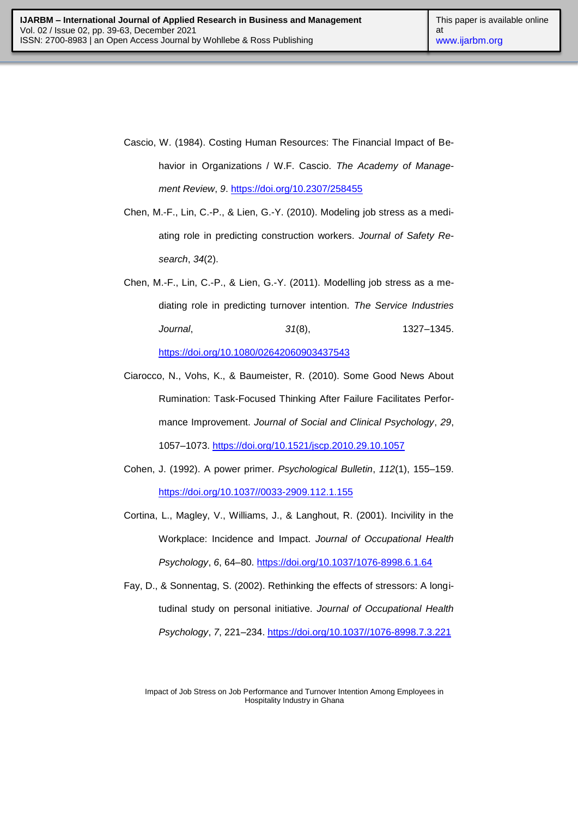- Cascio, W. (1984). Costing Human Resources: The Financial Impact of Behavior in Organizations / W.F. Cascio. *The Academy of Management Review*, *9*.<https://doi.org/10.2307/258455>
- Chen, M.-F., Lin, C.-P., & Lien, G.-Y. (2010). Modeling job stress as a mediating role in predicting construction workers. *Journal of Safety Research*, *34*(2).
- Chen, M.-F., Lin, C.-P., & Lien, G.-Y. (2011). Modelling job stress as a mediating role in predicting turnover intention. *The Service Industries Journal*, *31*(8), 1327–1345. <https://doi.org/10.1080/02642060903437543>
- Ciarocco, N., Vohs, K., & Baumeister, R. (2010). Some Good News About Rumination: Task-Focused Thinking After Failure Facilitates Performance Improvement. *Journal of Social and Clinical Psychology*, *29*, 1057–1073.<https://doi.org/10.1521/jscp.2010.29.10.1057>
- Cohen, J. (1992). A power primer. *Psychological Bulletin*, *112*(1), 155–159. [https://doi.org/10.1037//0033-2909.112.1.155](https://doi.org/10.1037/0033-2909.112.1.155)
- Cortina, L., Magley, V., Williams, J., & Langhout, R. (2001). Incivility in the Workplace: Incidence and Impact. *Journal of Occupational Health Psychology*, *6*, 64–80.<https://doi.org/10.1037/1076-8998.6.1.64>
- Fay, D., & Sonnentag, S. (2002). Rethinking the effects of stressors: A longitudinal study on personal initiative. *Journal of Occupational Health Psychology*, *7*, 221–234. [https://doi.org/10.1037//1076-8998.7.3.221](https://doi.org/10.1037/1076-8998.7.3.221)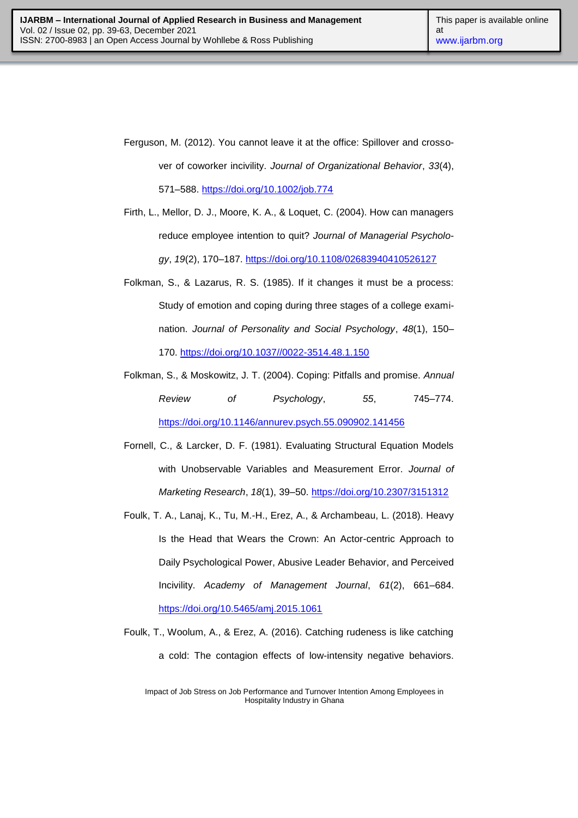- Ferguson, M. (2012). You cannot leave it at the office: Spillover and crossover of coworker incivility. *Journal of Organizational Behavior*, *33*(4), 571–588.<https://doi.org/10.1002/job.774>
- Firth, L., Mellor, D. J., Moore, K. A., & Loquet, C. (2004). How can managers reduce employee intention to quit? *Journal of Managerial Psychology*, *19*(2), 170–187.<https://doi.org/10.1108/02683940410526127>
- Folkman, S., & Lazarus, R. S. (1985). If it changes it must be a process: Study of emotion and coping during three stages of a college examination. *Journal of Personality and Social Psychology*, *48*(1), 150– 170. [https://doi.org/10.1037//0022-3514.48.1.150](https://doi.org/10.1037/0022-3514.48.1.150)
- Folkman, S., & Moskowitz, J. T. (2004). Coping: Pitfalls and promise. *Annual Review of Psychology*, *55*, 745–774. <https://doi.org/10.1146/annurev.psych.55.090902.141456>
- Fornell, C., & Larcker, D. F. (1981). Evaluating Structural Equation Models with Unobservable Variables and Measurement Error. *Journal of Marketing Research*, *18*(1), 39–50.<https://doi.org/10.2307/3151312>
- Foulk, T. A., Lanaj, K., Tu, M.-H., Erez, A., & Archambeau, L. (2018). Heavy Is the Head that Wears the Crown: An Actor-centric Approach to Daily Psychological Power, Abusive Leader Behavior, and Perceived Incivility. *Academy of Management Journal*, *61*(2), 661–684. <https://doi.org/10.5465/amj.2015.1061>
- Foulk, T., Woolum, A., & Erez, A. (2016). Catching rudeness is like catching a cold: The contagion effects of low-intensity negative behaviors.

Impact of Job Stress on Job Performance and Turnover Intention Among Employees in Hospitality Industry in Ghana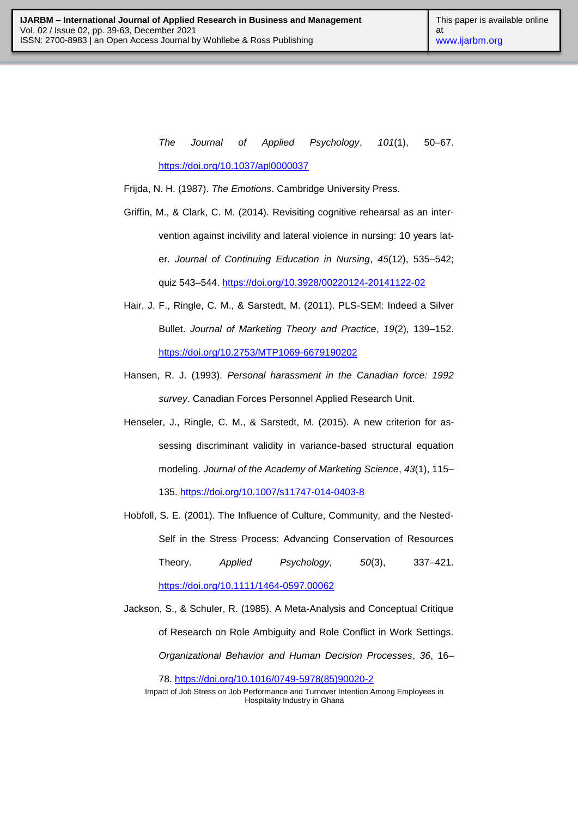*The Journal of Applied Psychology*, *101*(1), 50–67. <https://doi.org/10.1037/apl0000037>

Frijda, N. H. (1987). *The Emotions*. Cambridge University Press.

- Griffin, M., & Clark, C. M. (2014). Revisiting cognitive rehearsal as an intervention against incivility and lateral violence in nursing: 10 years later. *Journal of Continuing Education in Nursing*, *45*(12), 535–542; quiz 543–544.<https://doi.org/10.3928/00220124-20141122-02>
- Hair, J. F., Ringle, C. M., & Sarstedt, M. (2011). PLS-SEM: Indeed a Silver Bullet. *Journal of Marketing Theory and Practice*, *19*(2), 139–152. <https://doi.org/10.2753/MTP1069-6679190202>
- Hansen, R. J. (1993). *Personal harassment in the Canadian force: 1992 survey*. Canadian Forces Personnel Applied Research Unit.
- Henseler, J., Ringle, C. M., & Sarstedt, M. (2015). A new criterion for assessing discriminant validity in variance-based structural equation modeling. *Journal of the Academy of Marketing Science*, *43*(1), 115– 135.<https://doi.org/10.1007/s11747-014-0403-8>
- Hobfoll, S. E. (2001). The Influence of Culture, Community, and the Nested-Self in the Stress Process: Advancing Conservation of Resources Theory. *Applied Psychology*, *50*(3), 337–421. <https://doi.org/10.1111/1464-0597.00062>
- Jackson, S., & Schuler, R. (1985). A Meta-Analysis and Conceptual Critique of Research on Role Ambiguity and Role Conflict in Work Settings. *Organizational Behavior and Human Decision Processes*, *36*, 16–

78. [https://doi.org/10.1016/0749-5978\(85\)90020-2](https://doi.org/10.1016/0749-5978(85)90020-2)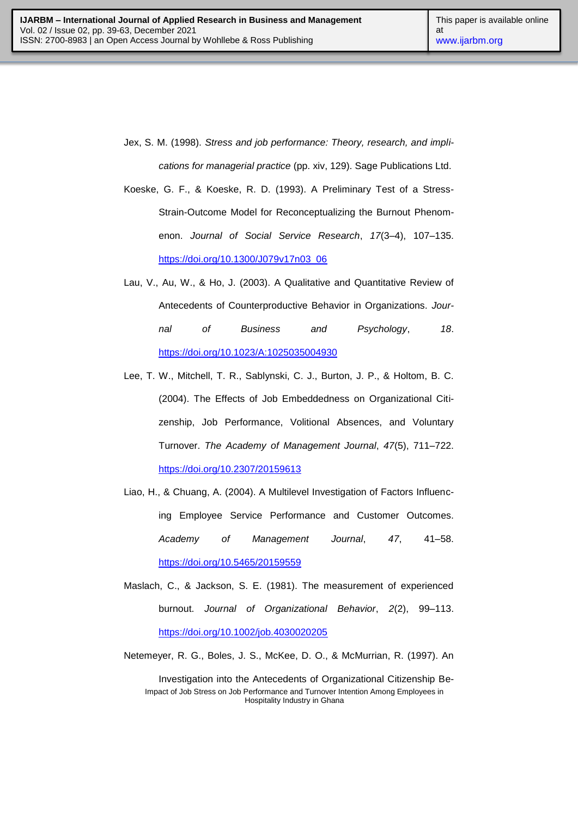- Jex, S. M. (1998). *Stress and job performance: Theory, research, and implications for managerial practice* (pp. xiv, 129). Sage Publications Ltd.
- Koeske, G. F., & Koeske, R. D. (1993). A Preliminary Test of a Stress-Strain-Outcome Model for Reconceptualizing the Burnout Phenomenon. *Journal of Social Service Research*, *17*(3–4), 107–135. [https://doi.org/10.1300/J079v17n03\\_06](https://doi.org/10.1300/J079v17n03_06)
- Lau, V., Au, W., & Ho, J. (2003). A Qualitative and Quantitative Review of Antecedents of Counterproductive Behavior in Organizations. *Journal of Business and Psychology*, *18*. <https://doi.org/10.1023/A:1025035004930>
- Lee, T. W., Mitchell, T. R., Sablynski, C. J., Burton, J. P., & Holtom, B. C. (2004). The Effects of Job Embeddedness on Organizational Citizenship, Job Performance, Volitional Absences, and Voluntary Turnover. *The Academy of Management Journal*, *47*(5), 711–722. <https://doi.org/10.2307/20159613>
- Liao, H., & Chuang, A. (2004). A Multilevel Investigation of Factors Influencing Employee Service Performance and Customer Outcomes. *Academy of Management Journal*, *47*, 41–58. <https://doi.org/10.5465/20159559>
- Maslach, C., & Jackson, S. E. (1981). The measurement of experienced burnout. *Journal of Organizational Behavior*, *2*(2), 99–113. <https://doi.org/10.1002/job.4030020205>
- Netemeyer, R. G., Boles, J. S., McKee, D. O., & McMurrian, R. (1997). An

Impact of Job Stress on Job Performance and Turnover Intention Among Employees in Hospitality Industry in Ghana Investigation into the Antecedents of Organizational Citizenship Be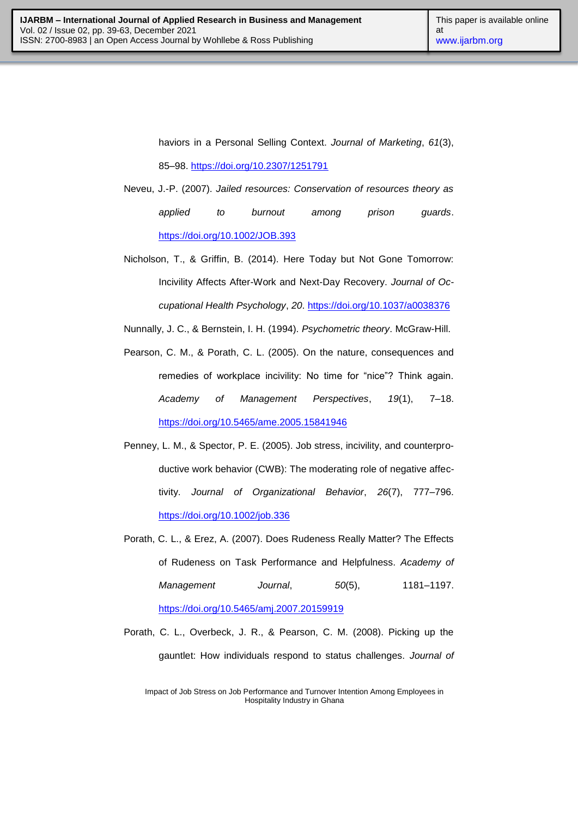haviors in a Personal Selling Context. *Journal of Marketing*, *61*(3),

85–98.<https://doi.org/10.2307/1251791>

- Neveu, J.-P. (2007). *Jailed resources: Conservation of resources theory as applied to burnout among prison guards*. <https://doi.org/10.1002/JOB.393>
- Nicholson, T., & Griffin, B. (2014). Here Today but Not Gone Tomorrow: Incivility Affects After-Work and Next-Day Recovery. *Journal of Occupational Health Psychology*, *20*.<https://doi.org/10.1037/a0038376>

Nunnally, J. C., & Bernstein, I. H. (1994). *Psychometric theory*. McGraw-Hill.

- Pearson, C. M., & Porath, C. L. (2005). On the nature, consequences and remedies of workplace incivility: No time for "nice"? Think again. *Academy of Management Perspectives*, *19*(1), 7–18. <https://doi.org/10.5465/ame.2005.15841946>
- Penney, L. M., & Spector, P. E. (2005). Job stress, incivility, and counterproductive work behavior (CWB): The moderating role of negative affectivity. *Journal of Organizational Behavior*, *26*(7), 777–796. <https://doi.org/10.1002/job.336>
- Porath, C. L., & Erez, A. (2007). Does Rudeness Really Matter? The Effects of Rudeness on Task Performance and Helpfulness. *Academy of Management Journal*, *50*(5), 1181–1197. <https://doi.org/10.5465/amj.2007.20159919>
- Porath, C. L., Overbeck, J. R., & Pearson, C. M. (2008). Picking up the gauntlet: How individuals respond to status challenges. *Journal of*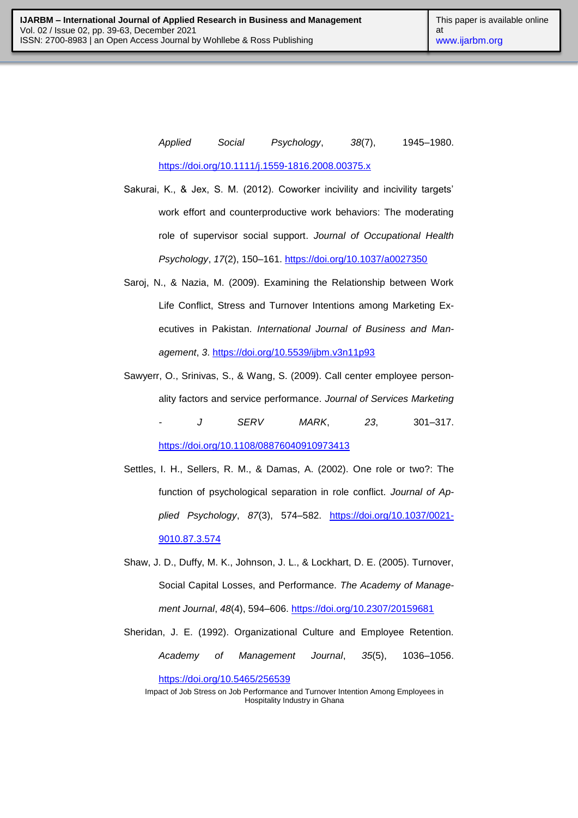*Applied Social Psychology*, *38*(7), 1945–1980. <https://doi.org/10.1111/j.1559-1816.2008.00375.x>

- Sakurai, K., & Jex, S. M. (2012). Coworker incivility and incivility targets' work effort and counterproductive work behaviors: The moderating role of supervisor social support. *Journal of Occupational Health Psychology*, *17*(2), 150–161.<https://doi.org/10.1037/a0027350>
- Saroj, N., & Nazia, M. (2009). Examining the Relationship between Work Life Conflict, Stress and Turnover Intentions among Marketing Executives in Pakistan. *International Journal of Business and Management*, *3*.<https://doi.org/10.5539/ijbm.v3n11p93>
- Sawyerr, O., Srinivas, S., & Wang, S. (2009). Call center employee personality factors and service performance. *Journal of Services Marketing - J SERV MARK*, *23*, 301–317. <https://doi.org/10.1108/08876040910973413>
- Settles, I. H., Sellers, R. M., & Damas, A. (2002). One role or two?: The function of psychological separation in role conflict. *Journal of Applied Psychology*, *87*(3), 574–582. [https://doi.org/10.1037/0021-](https://doi.org/10.1037/0021-9010.87.3.574) [9010.87.3.574](https://doi.org/10.1037/0021-9010.87.3.574)
- Shaw, J. D., Duffy, M. K., Johnson, J. L., & Lockhart, D. E. (2005). Turnover, Social Capital Losses, and Performance. *The Academy of Management Journal*, *48*(4), 594–606.<https://doi.org/10.2307/20159681>
- Sheridan, J. E. (1992). Organizational Culture and Employee Retention. *Academy of Management Journal*, *35*(5), 1036–1056.

<https://doi.org/10.5465/256539>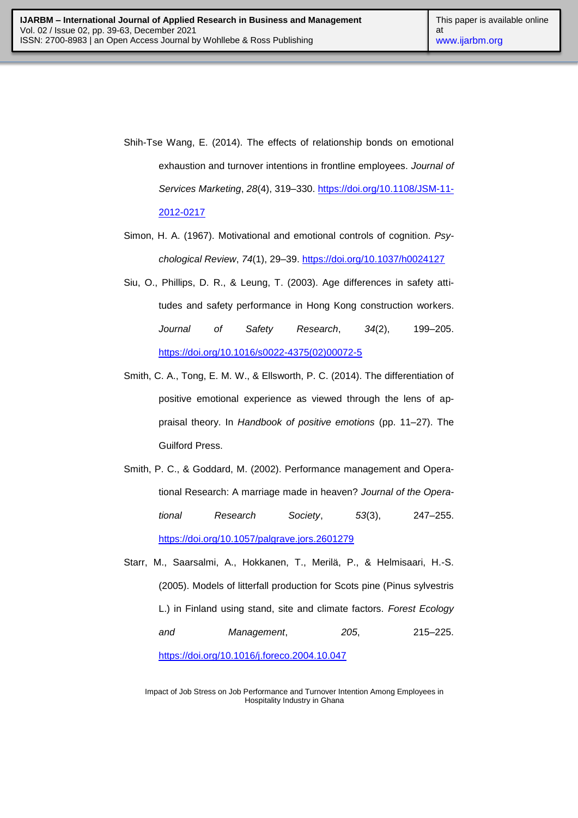- Shih-Tse Wang, E. (2014). The effects of relationship bonds on emotional exhaustion and turnover intentions in frontline employees. *Journal of Services Marketing*, *28*(4), 319–330. [https://doi.org/10.1108/JSM-11-](https://doi.org/10.1108/JSM-11-2012-0217) [2012-0217](https://doi.org/10.1108/JSM-11-2012-0217)
- Simon, H. A. (1967). Motivational and emotional controls of cognition. *Psychological Review*, *74*(1), 29–39.<https://doi.org/10.1037/h0024127>
- Siu, O., Phillips, D. R., & Leung, T. (2003). Age differences in safety attitudes and safety performance in Hong Kong construction workers. *Journal of Safety Research*, *34*(2), 199–205. [https://doi.org/10.1016/s0022-4375\(02\)00072-5](https://doi.org/10.1016/s0022-4375(02)00072-5)
- Smith, C. A., Tong, E. M. W., & Ellsworth, P. C. (2014). The differentiation of positive emotional experience as viewed through the lens of appraisal theory. In *Handbook of positive emotions* (pp. 11–27). The Guilford Press.
- Smith, P. C., & Goddard, M. (2002). Performance management and Operational Research: A marriage made in heaven? *Journal of the Operational Research Society*, *53*(3), 247–255. <https://doi.org/10.1057/palgrave.jors.2601279>
- Starr, M., Saarsalmi, A., Hokkanen, T., Merilä, P., & Helmisaari, H.-S. (2005). Models of litterfall production for Scots pine (Pinus sylvestris L.) in Finland using stand, site and climate factors. *Forest Ecology and Management*, *205*, 215–225.

<https://doi.org/10.1016/j.foreco.2004.10.047>